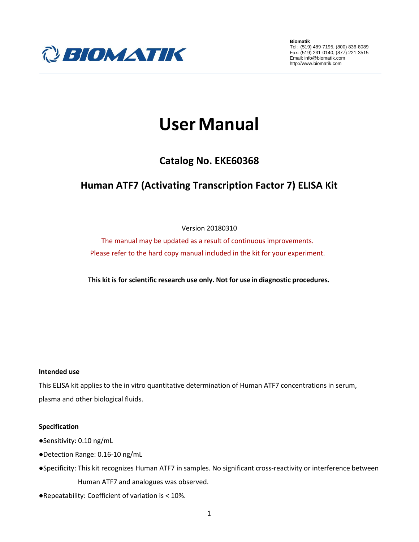

**Biomatik** Tel: (519) 489-7195, (800) 836-8089 Fax: (519) 231-0140, (877) 221-3515 Email: info@biomatik.com http://www.biomatik.com

# **UserManual**

# **Catalog No. EKE60368**

# **Human ATF7 (Activating Transcription Factor 7) ELISA Kit**

# Version 20180310

The manual may be updated as a result of continuous improvements. Please refer to the hard copy manual included in the kit for your experiment.

**This kit is for scientific research use only. Not for use in diagnostic procedures.**

# **Intended use**

This ELISA kit applies to the in vitro quantitative determination of Human ATF7 concentrations in serum, plasma and other biological fluids.

# **Specification**

- ●Sensitivity: 0.10 ng/mL
- ●Detection Range: 0.16-10 ng/mL
- ●Specificity: This kit recognizes Human ATF7 in samples. No significant cross-reactivity or interference between Human ATF7 and analogues was observed.
- ●Repeatability: Coefficient of variation is < 10%.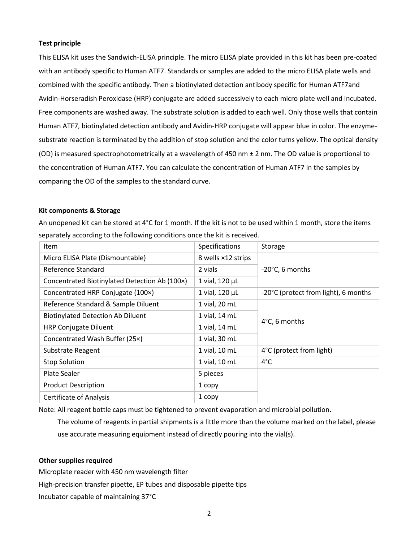#### **Test principle**

This ELISA kit uses the Sandwich-ELISA principle. The micro ELISA plate provided in this kit has been pre-coated with an antibody specific to Human ATF7. Standards or samples are added to the micro ELISA plate wells and combined with the specific antibody. Then a biotinylated detection antibody specific for Human ATF7and Avidin-Horseradish Peroxidase (HRP) conjugate are added successively to each micro plate well and incubated. Free components are washed away. The substrate solution is added to each well. Only those wells that contain Human ATF7, biotinylated detection antibody and Avidin-HRP conjugate will appear blue in color. The enzymesubstrate reaction is terminated by the addition of stop solution and the color turns yellow. The optical density (OD) is measured spectrophotometrically at a wavelength of 450 nm  $\pm$  2 nm. The OD value is proportional to the concentration of Human ATF7. You can calculate the concentration of Human ATF7 in the samples by comparing the OD of the samples to the standard curve.

#### **Kit components & Storage**

An unopened kit can be stored at 4°C for 1 month. If the kit is not to be used within 1 month, store the items separately according to the following conditions once the kit is received.

| Item                                          | Specifications     | Storage                              |  |
|-----------------------------------------------|--------------------|--------------------------------------|--|
| Micro ELISA Plate (Dismountable)              | 8 wells ×12 strips |                                      |  |
| Reference Standard                            | 2 vials            | -20°C, 6 months                      |  |
| Concentrated Biotinylated Detection Ab (100x) | 1 vial, 120 µL     |                                      |  |
| Concentrated HRP Conjugate (100x)             | 1 vial, 120 µL     | -20°C (protect from light), 6 months |  |
| Reference Standard & Sample Diluent           | 1 vial, 20 mL      |                                      |  |
| <b>Biotinylated Detection Ab Diluent</b>      | 1 vial, 14 mL      | 4°C, 6 months                        |  |
| <b>HRP Conjugate Diluent</b>                  | 1 vial, 14 mL      |                                      |  |
| Concentrated Wash Buffer (25x)                | 1 vial, 30 mL      |                                      |  |
| Substrate Reagent                             | 1 vial, 10 mL      | 4°C (protect from light)             |  |
| <b>Stop Solution</b>                          | 1 vial, 10 mL      | $4^{\circ}$ C                        |  |
| <b>Plate Sealer</b>                           | 5 pieces           |                                      |  |
| <b>Product Description</b>                    | 1 copy             |                                      |  |
| <b>Certificate of Analysis</b>                | 1 copy             |                                      |  |

Note: All reagent bottle caps must be tightened to prevent evaporation and microbial pollution.

The volume of reagents in partial shipments is a little more than the volume marked on the label, please use accurate measuring equipment instead of directly pouring into the vial(s).

#### **Other supplies required**

Microplate reader with 450 nm wavelength filter High-precision transfer pipette, EP tubes and disposable pipette tips Incubator capable of maintaining 37°C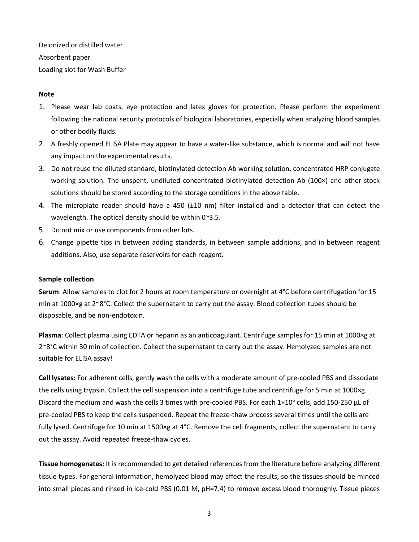Deionized or distilled water Absorbent paper Loading slot for Wash Buffer

### **Note**

- 1. Please wear lab coats, eye protection and latex gloves for protection. Please perform the experiment following the national security protocols of biological laboratories, especially when analyzing blood samples or other bodily fluids.
- 2. A freshly opened ELISA Plate may appear to have a water-like substance, which is normal and will not have any impact on the experimental results.
- 3. Do not reuse the diluted standard, biotinylated detection Ab working solution, concentrated HRP conjugate working solution. The unspent, undiluted concentrated biotinylated detection Ab (100×) and other stock solutions should be stored according to the storage conditions in the above table.
- 4. The microplate reader should have a 450 (±10 nm) filter installed and a detector that can detect the wavelength. The optical density should be within 0~3.5.
- 5. Do not mix or use components from other lots.
- 6. Change pipette tips in between adding standards, in between sample additions, and in between reagent additions. Also, use separate reservoirs for each reagent.

#### **Sample collection**

**Serum**: Allow samples to clot for 2 hours at room temperature or overnight at 4°C before centrifugation for 15 min at 1000×g at 2~8°C. Collect the supernatant to carry out the assay. Blood collection tubes should be disposable, and be non-endotoxin.

**Plasma**: Collect plasma using EDTA or heparin as an anticoagulant. Centrifuge samples for 15 min at 1000×g at 2~8°C within 30 min of collection. Collect the supernatant to carry out the assay. Hemolyzed samples are not suitable for ELISA assay!

**Cell lysates:** For adherent cells, gently wash the cells with a moderate amount of pre-cooled PBS and dissociate the cells using trypsin. Collect the cell suspension into a centrifuge tube and centrifuge for 5 min at 1000×g. Discard the medium and wash the cells 3 times with pre-cooled PBS. For each  $1\times10^6$  cells, add 150-250 µL of pre-cooled PBS to keep the cells suspended. Repeat the freeze-thaw process several times until the cells are fully lysed. Centrifuge for 10 min at 1500×g at 4°C. Remove the cell fragments, collect the supernatant to carry out the assay. Avoid repeated freeze-thaw cycles.

**Tissue homogenates:** It is recommended to get detailed references from the literature before analyzing different tissue types. For general information, hemolyzed blood may affect the results, so the tissues should be minced into small pieces and rinsed in ice-cold PBS (0.01 M, pH=7.4) to remove excess blood thoroughly. Tissue pieces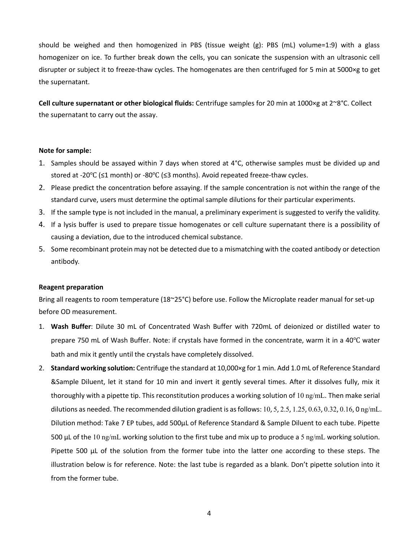should be weighed and then homogenized in PBS (tissue weight (g): PBS (mL) volume=1:9) with a glass homogenizer on ice. To further break down the cells, you can sonicate the suspension with an ultrasonic cell disrupter or subject it to freeze-thaw cycles. The homogenates are then centrifuged for 5 min at 5000×g to get the supernatant.

**Cell culture supernatant or other biological fluids:** Centrifuge samples for 20 min at 1000×g at 2~8°C. Collect the supernatant to carry out the assay.

#### **Note for sample:**

- 1. Samples should be assayed within 7 days when stored at 4°C, otherwise samples must be divided up and stored at -20℃ (≤1 month) or -80℃ (≤3 months). Avoid repeated freeze-thaw cycles.
- 2. Please predict the concentration before assaying. If the sample concentration is not within the range of the standard curve, users must determine the optimal sample dilutions for their particular experiments.
- 3. If the sample type is not included in the manual, a preliminary experiment is suggested to verify the validity.
- 4. If a lysis buffer is used to prepare tissue homogenates or cell culture supernatant there is a possibility of causing a deviation, due to the introduced chemical substance.
- 5. Some recombinant protein may not be detected due to a mismatching with the coated antibody or detection antibody.

#### **Reagent preparation**

Bring all reagents to room temperature (18~25°C) before use. Follow the Microplate reader manual for set-up before OD measurement.

- 1. **Wash Buffer**: Dilute 30 mL of Concentrated Wash Buffer with 720mL of deionized or distilled water to prepare 750 mL of Wash Buffer. Note: if crystals have formed in the concentrate, warm it in a 40℃ water bath and mix it gently until the crystals have completely dissolved.
- 2. **Standard working solution:** Centrifuge the standard at 10,000×g for 1 min. Add 1.0 mL of Reference Standard &Sample Diluent, let it stand for 10 min and invert it gently several times. After it dissolves fully, mix it thoroughly with a pipette tip. This reconstitution produces a working solution of 10 ng/mL. Then make serial dilutions as needed. The recommended dilution gradient is as follows: 10, 5, 2.5, 1.25, 0.63, 0.32, 0.16, 0 ng/mL. Dilution method: Take 7 EP tubes, add 500μL of Reference Standard & Sample Diluent to each tube. Pipette 500 μL of the 10 ng/mL working solution to the first tube and mix up to produce a 5 ng/mL working solution. Pipette 500 μL of the solution from the former tube into the latter one according to these steps. The illustration below is for reference. Note: the last tube is regarded as a blank. Don't pipette solution into it from the former tube.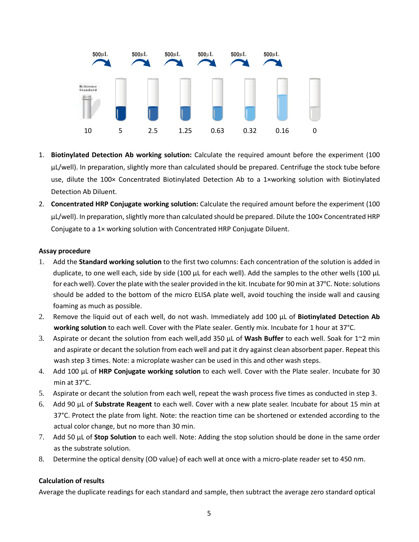

- 1. **Biotinylated Detection Ab working solution:** Calculate the required amount before the experiment (100 μL/well). In preparation, slightly more than calculated should be prepared. Centrifuge the stock tube before use, dilute the 100× Concentrated Biotinylated Detection Ab to a 1×working solution with Biotinylated Detection Ab Diluent.
- 2. **Concentrated HRP Conjugate working solution:** Calculate the required amount before the experiment (100 μL/well). In preparation, slightly more than calculated should be prepared. Dilute the 100× Concentrated HRP Conjugate to a 1× working solution with Concentrated HRP Conjugate Diluent.

# **Assay procedure**

- 1. Add the **Standard working solution** to the first two columns: Each concentration of the solution is added in duplicate, to one well each, side by side (100 μL for each well). Add the samples to the other wells (100 μL for each well). Cover the plate with the sealer provided in the kit. Incubate for 90 min at 37℃. Note: solutions should be added to the bottom of the micro ELISA plate well, avoid touching the inside wall and causing foaming as much as possible.
- 2. Remove the liquid out of each well, do not wash. Immediately add 100 μL of **Biotinylated Detection Ab working solution** to each well. Cover with the Plate sealer. Gently mix. Incubate for 1 hour at 37°C.
- 3. Aspirate or decant the solution from each well,add 350 μL of **Wash Buffer** to each well. Soak for 1~2 min and aspirate or decant the solution from each well and pat it dry against clean absorbent paper. Repeat this wash step 3 times. Note: a microplate washer can be used in this and other wash steps.
- 4. Add 100 μL of **HRP Conjugate working solution** to each well. Cover with the Plate sealer. Incubate for 30 min at 37°C.
- 5. Aspirate or decant the solution from each well, repeat the wash process five times as conducted in step 3.
- 6. Add 90 μL of **Substrate Reagent** to each well. Cover with a new plate sealer. Incubate for about 15 min at 37°C. Protect the plate from light. Note: the reaction time can be shortened or extended according to the actual color change, but no more than 30 min.
- 7. Add 50 μL of **Stop Solution** to each well. Note: Adding the stop solution should be done in the same order as the substrate solution.
- 8. Determine the optical density (OD value) of each well at once with a micro-plate reader set to 450 nm.

# **Calculation of results**

Average the duplicate readings for each standard and sample, then subtract the average zero standard optical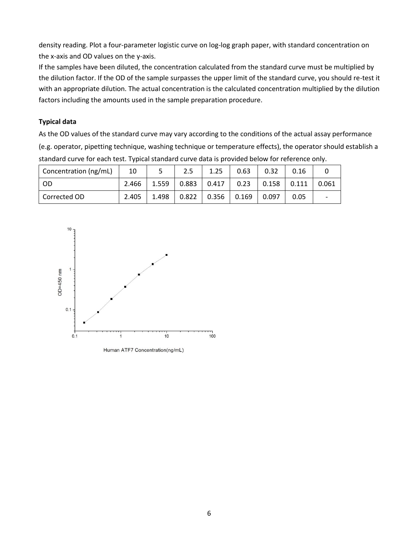density reading. Plot a four-parameter logistic curve on log-log graph paper, with standard concentration on the x-axis and OD values on the y-axis.

If the samples have been diluted, the concentration calculated from the standard curve must be multiplied by the dilution factor. If the OD of the sample surpasses the upper limit of the standard curve, you should re-test it with an appropriate dilution. The actual concentration is the calculated concentration multiplied by the dilution factors including the amounts used in the sample preparation procedure.

# **Typical data**

As the OD values of the standard curve may vary according to the conditions of the actual assay performance (e.g. operator, pipetting technique, washing technique or temperature effects), the operator should establish a standard curve for each test. Typical standard curve data is provided below for reference only.

| Concentration (ng/mL) | 10    |       | 2.5       | 1.25            | 0.63 | 0.32    | 0.16  |       |
|-----------------------|-------|-------|-----------|-----------------|------|---------|-------|-------|
| - OD                  | 2.466 | 1.559 |           | $0.883$   0.417 | 0.23 | l 0.158 | 0.111 | 0.061 |
| Corrected OD          | 2.405 | 1.498 | $0.822$ 1 | $0.356$ 0.169   |      | 0.097   | 0.05  |       |



Human ATF7 Concentration(ng/mL)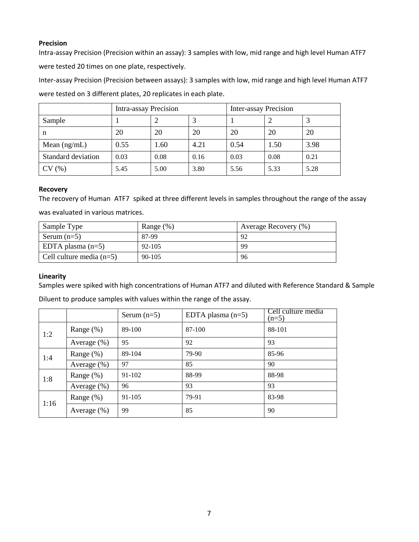# **Precision**

Intra-assay Precision (Precision within an assay): 3 samples with low, mid range and high level Human ATF7 were tested 20 times on one plate, respectively.

Inter-assay Precision (Precision between assays): 3 samples with low, mid range and high level Human ATF7 were tested on 3 different plates, 20 replicates in each plate.

|                    | Intra-assay Precision |      |      | Inter-assay Precision |      |      |
|--------------------|-----------------------|------|------|-----------------------|------|------|
| Sample             |                       |      |      |                       |      |      |
| n                  | 20                    | 20   | 20   | 20                    | 20   | 20   |
| Mean $(ng/mL)$     | 0.55                  | 1.60 | 4.21 | 0.54                  | 1.50 | 3.98 |
| Standard deviation | 0.03                  | 0.08 | 0.16 | 0.03                  | 0.08 | 0.21 |
| CV(%)              | 5.45                  | 5.00 | 3.80 | 5.56                  | 5.33 | 5.28 |

#### **Recovery**

The recovery of Human ATF7 spiked at three different levels in samples throughout the range of the assay was evaluated in various matrices.

| Sample Type                | Range $(\%)$ | Average Recovery (%) |
|----------------------------|--------------|----------------------|
| Serum $(n=5)$              | 87-99        | 92                   |
| EDTA plasma $(n=5)$        | 92-105       | 99                   |
| Cell culture media $(n=5)$ | $90 - 105$   | 96                   |

# **Linearity**

Samples were spiked with high concentrations of Human ATF7 and diluted with Reference Standard & Sample

Diluent to produce samples with values within the range of the assay.

|      |                | Serum $(n=5)$ | EDTA plasma $(n=5)$ | Cell culture media<br>$(n=5)$ |
|------|----------------|---------------|---------------------|-------------------------------|
| 1:2  | Range $(\%)$   | 89-100        | 87-100              | 88-101                        |
|      | Average $(\%)$ | 95            | 92                  | 93                            |
| 1:4  | Range $(\%)$   | 89-104        | 79-90               | 85-96                         |
|      | Average $(\%)$ | 97            | 85                  | 90                            |
| 1:8  | Range $(\%)$   | 91-102        | 88-99               | 88-98                         |
|      | Average (%)    | 96            | 93                  | 93                            |
| 1:16 | Range $(\%)$   | 91-105        | 79-91               | 83-98                         |
|      | Average (%)    | 99            | 85                  | 90                            |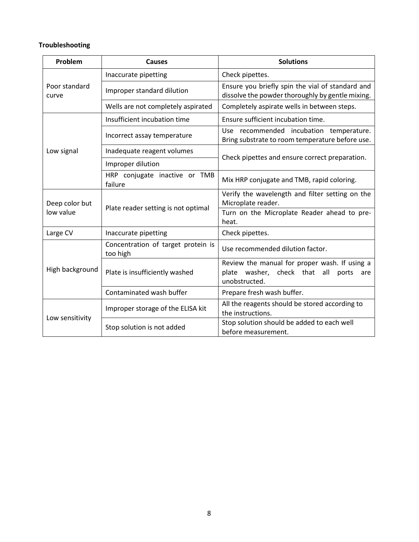# **Troubleshooting**

| Problem                     | <b>Causes</b>                                  | <b>Solutions</b>                                                                                               |  |  |
|-----------------------------|------------------------------------------------|----------------------------------------------------------------------------------------------------------------|--|--|
|                             | Inaccurate pipetting                           | Check pipettes.                                                                                                |  |  |
| Poor standard<br>curve      | Improper standard dilution                     | Ensure you briefly spin the vial of standard and<br>dissolve the powder thoroughly by gentle mixing.           |  |  |
|                             | Wells are not completely aspirated             | Completely aspirate wells in between steps.                                                                    |  |  |
| Low signal                  | Insufficient incubation time                   | Ensure sufficient incubation time.                                                                             |  |  |
|                             | Incorrect assay temperature                    | Use recommended incubation temperature.<br>Bring substrate to room temperature before use.                     |  |  |
|                             | Inadequate reagent volumes                     |                                                                                                                |  |  |
|                             | Improper dilution                              | Check pipettes and ensure correct preparation.                                                                 |  |  |
|                             | HRP conjugate inactive or TMB<br>failure       | Mix HRP conjugate and TMB, rapid coloring.                                                                     |  |  |
| Deep color but<br>low value |                                                | Verify the wavelength and filter setting on the<br>Microplate reader.                                          |  |  |
|                             | Plate reader setting is not optimal            | Turn on the Microplate Reader ahead to pre-<br>heat.                                                           |  |  |
| Large CV                    | Inaccurate pipetting                           | Check pipettes.                                                                                                |  |  |
| High background             | Concentration of target protein is<br>too high | Use recommended dilution factor.                                                                               |  |  |
|                             | Plate is insufficiently washed                 | Review the manual for proper wash. If using a<br>plate washer, check that all<br>ports<br>are<br>unobstructed. |  |  |
|                             | Contaminated wash buffer                       | Prepare fresh wash buffer.                                                                                     |  |  |
| Low sensitivity             | Improper storage of the ELISA kit              | All the reagents should be stored according to<br>the instructions.                                            |  |  |
|                             | Stop solution is not added                     | Stop solution should be added to each well<br>before measurement.                                              |  |  |